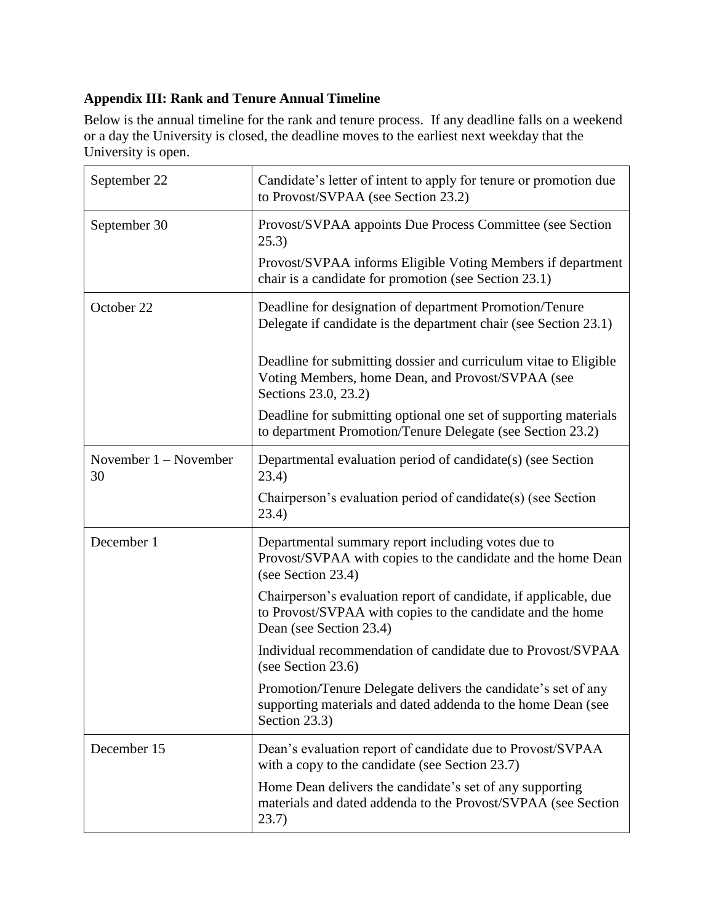## **Appendix III: Rank and Tenure Annual Timeline**

Below is the annual timeline for the rank and tenure process. If any deadline falls on a weekend or a day the University is closed, the deadline moves to the earliest next weekday that the University is open.

| September 22                  | Candidate's letter of intent to apply for tenure or promotion due<br>to Provost/SVPAA (see Section 23.2)                                                  |
|-------------------------------|-----------------------------------------------------------------------------------------------------------------------------------------------------------|
| September 30                  | Provost/SVPAA appoints Due Process Committee (see Section<br>25.3)                                                                                        |
|                               | Provost/SVPAA informs Eligible Voting Members if department<br>chair is a candidate for promotion (see Section 23.1)                                      |
| October 22                    | Deadline for designation of department Promotion/Tenure<br>Delegate if candidate is the department chair (see Section 23.1)                               |
|                               | Deadline for submitting dossier and curriculum vitae to Eligible<br>Voting Members, home Dean, and Provost/SVPAA (see<br>Sections 23.0, 23.2)             |
|                               | Deadline for submitting optional one set of supporting materials<br>to department Promotion/Tenure Delegate (see Section 23.2)                            |
| November $1 -$ November<br>30 | Departmental evaluation period of candidate(s) (see Section<br>23.4)                                                                                      |
|                               | Chairperson's evaluation period of candidate(s) (see Section<br>23.4)                                                                                     |
| December 1                    | Departmental summary report including votes due to<br>Provost/SVPAA with copies to the candidate and the home Dean<br>(see Section 23.4)                  |
|                               | Chairperson's evaluation report of candidate, if applicable, due<br>to Provost/SVPAA with copies to the candidate and the home<br>Dean (see Section 23.4) |
|                               | Individual recommendation of candidate due to Provost/SVPAA<br>(see Section 23.6)                                                                         |
|                               | Promotion/Tenure Delegate delivers the candidate's set of any<br>supporting materials and dated addenda to the home Dean (see<br>Section 23.3)            |
| December 15                   | Dean's evaluation report of candidate due to Provost/SVPAA<br>with a copy to the candidate (see Section 23.7)                                             |
|                               | Home Dean delivers the candidate's set of any supporting<br>materials and dated addenda to the Provost/SVPAA (see Section<br>(23.7)                       |